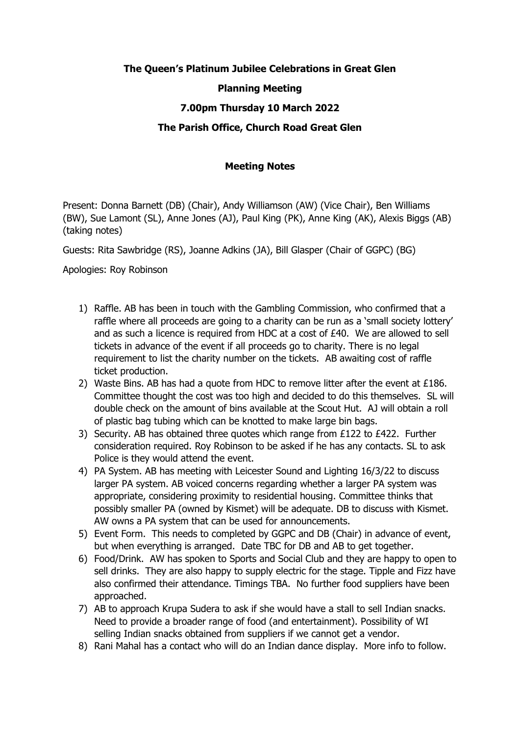# **The Queen's Platinum Jubilee Celebrations in Great Glen**

#### **Planning Meeting**

## **7.00pm Thursday 10 March 2022**

### **The Parish Office, Church Road Great Glen**

#### **Meeting Notes**

Present: Donna Barnett (DB) (Chair), Andy Williamson (AW) (Vice Chair), Ben Williams (BW), Sue Lamont (SL), Anne Jones (AJ), Paul King (PK), Anne King (AK), Alexis Biggs (AB) (taking notes)

Guests: Rita Sawbridge (RS), Joanne Adkins (JA), Bill Glasper (Chair of GGPC) (BG)

Apologies: Roy Robinson

- 1) Raffle. AB has been in touch with the Gambling Commission, who confirmed that a raffle where all proceeds are going to a charity can be run as a 'small society lottery' and as such a licence is required from HDC at a cost of £40. We are allowed to sell tickets in advance of the event if all proceeds go to charity. There is no legal requirement to list the charity number on the tickets. AB awaiting cost of raffle ticket production.
- 2) Waste Bins. AB has had a quote from HDC to remove litter after the event at £186. Committee thought the cost was too high and decided to do this themselves. SL will double check on the amount of bins available at the Scout Hut. AJ will obtain a roll of plastic bag tubing which can be knotted to make large bin bags.
- 3) Security. AB has obtained three quotes which range from £122 to £422. Further consideration required. Roy Robinson to be asked if he has any contacts. SL to ask Police is they would attend the event.
- 4) PA System. AB has meeting with Leicester Sound and Lighting 16/3/22 to discuss larger PA system. AB voiced concerns regarding whether a larger PA system was appropriate, considering proximity to residential housing. Committee thinks that possibly smaller PA (owned by Kismet) will be adequate. DB to discuss with Kismet. AW owns a PA system that can be used for announcements.
- 5) Event Form. This needs to completed by GGPC and DB (Chair) in advance of event, but when everything is arranged. Date TBC for DB and AB to get together.
- 6) Food/Drink. AW has spoken to Sports and Social Club and they are happy to open to sell drinks. They are also happy to supply electric for the stage. Tipple and Fizz have also confirmed their attendance. Timings TBA. No further food suppliers have been approached.
- 7) AB to approach Krupa Sudera to ask if she would have a stall to sell Indian snacks. Need to provide a broader range of food (and entertainment). Possibility of WI selling Indian snacks obtained from suppliers if we cannot get a vendor.
- 8) Rani Mahal has a contact who will do an Indian dance display. More info to follow.